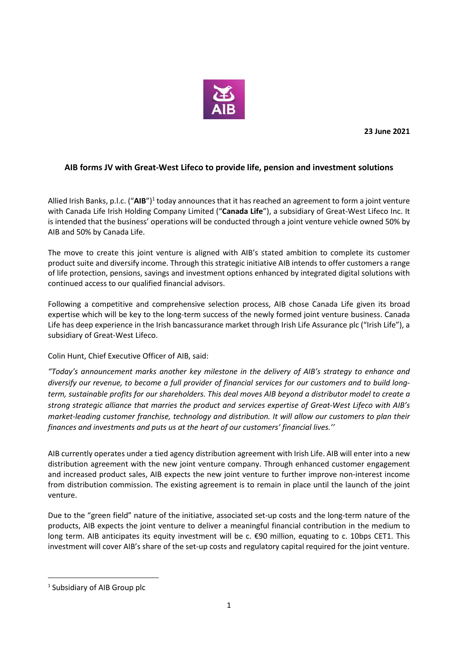

**23 June 2021** 

## **AIB forms JV with Great-West Lifeco to provide life, pension and investment solutions**

Allied Irish Banks, p.l.c. ("AIB")<sup>1</sup> today announces that it has reached an agreement to form a joint venture with Canada Life Irish Holding Company Limited ("**Canada Life**"), a subsidiary of Great-West Lifeco Inc. It is intended that the business' operations will be conducted through a joint venture vehicle owned 50% by AIB and 50% by Canada Life.

The move to create this joint venture is aligned with AIB's stated ambition to complete its customer product suite and diversify income. Through this strategic initiative AIB intends to offer customers a range of life protection, pensions, savings and investment options enhanced by integrated digital solutions with continued access to our qualified financial advisors.

Following a competitive and comprehensive selection process, AIB chose Canada Life given its broad expertise which will be key to the long-term success of the newly formed joint venture business. Canada Life has deep experience in the Irish bancassurance market through Irish Life Assurance plc ("Irish Life"), a subsidiary of Great-West Lifeco.

Colin Hunt, Chief Executive Officer of AIB, said:

*"Today's announcement marks another key milestone in the delivery of AIB's strategy to enhance and diversify our revenue, to become a full provider of financial services for our customers and to build longterm, sustainable profits for our shareholders. This deal moves AIB beyond a distributor model to create a strong strategic alliance that marries the product and services expertise of Great-West Lifeco with AIB's market-leading customer franchise, technology and distribution. It will allow our customers to plan their finances and investments and puts us at the heart of our customers' financial lives.''* 

AIB currently operates under a tied agency distribution agreement with Irish Life. AIB will enter into a new distribution agreement with the new joint venture company. Through enhanced customer engagement and increased product sales, AIB expects the new joint venture to further improve non-interest income from distribution commission. The existing agreement is to remain in place until the launch of the joint venture.

Due to the "green field" nature of the initiative, associated set-up costs and the long-term nature of the products, AIB expects the joint venture to deliver a meaningful financial contribution in the medium to long term. AIB anticipates its equity investment will be c. €90 million, equating to c. 10bps CET1. This investment will cover AIB's share of the set-up costs and regulatory capital required for the joint venture.

l

<sup>&</sup>lt;sup>1</sup> Subsidiary of AIB Group plc